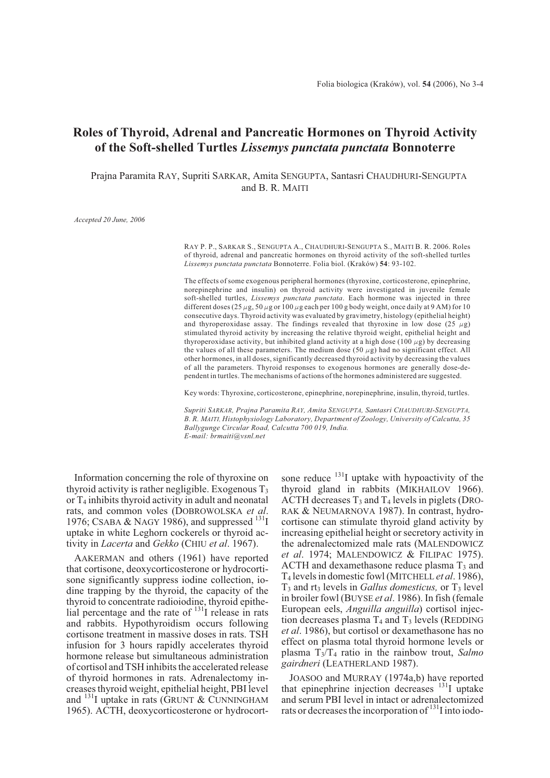# **Roles of Thyroid, Adrenal and Pancreatic Hormones on Thyroid Activity of the Soft-shelled Turtles** *Lissemys punctata punctata* **Bonnoterre**

Prajna Paramita RAY, Supriti SARKAR, Amita SENGUPTA, Santasri CHAUDHURI-SENGUPTA and B. R. MAITI

*Accepted 20 June, 2006*

RAY P. P., SARKAR S., SENGUPTA A., CHAUDHURI-SENGUPTA S., MAITI B. R. 2006. Roles of thyroid, adrenal and pancreatic hormones on thyroid activity of the soft-shelled turtles *Lissemys punctata punctata* Bonnoterre. Folia biol. (Kraków) **54**: 93-102.

The effects of some exogenous peripheral hormones (thyroxine, corticosterone, epinephrine, norepinephrine and insulin) on thyroid activity were investigated in juvenile female soft-shelled turtles, *Lissemys punctata punctata*. Each hormone was injected in three different doses (25  $\mu$ g, 50  $\mu$ g or 100  $\mu$ g each per 100 g body weight, once daily at 9 AM) for 10 consecutive days. Thyroid activity was evaluated by gravimetry, histology (epithelial height) and thyroperoxidase assay. The findings revealed that thyroxine in low dose (25  $\mu$ g) stimulated thyroid activity by increasing the relative thyroid weight, epithelial height and thyroperoxidase activity, but inhibited gland activity at a high dose (100  $\mu$ g) by decreasing the values of all these parameters. The medium dose (50  $\mu$ g) had no significant effect. All other hormones, in all doses, significantly decreased thyroid activity by decreasing the values of all the parameters. Thyroid responses to exogenous hormones are generally dose-dependent in turtles. The mechanisms of actions of the hormones administered are suggested.

Key words: Thyroxine, corticosterone, epinephrine, norepinephrine, insulin, thyroid, turtles.

*Supriti SARKAR, Prajna Paramita RAY, Amita SENGUPTA, Santasri CHAUDHURI-SENGUPTA, B. R. MAITI, Histophysiology Laboratory, Department of Zoology, University of Calcutta, 35 Ballygunge Circular Road, Calcutta 700 019, India. E-mail: brmaiti@vsnl.net*

Information concerning the role of thyroxine on thyroid activity is rather negligible. Exogenous  $T_3$ or  $T_4$  inhibits thyroid activity in adult and neonatal rats, and common voles (DOBROWOLSKA *et al*. 1976; CSABA & NAGY 1986), and suppressed  $^{131}I$ uptake in white Leghorn cockerels or thyroid activity in *Lacerta* and *Gekko* (CHIU *et al*. 1967).

AAKERMAN and others (1961) have reported that cortisone, deoxycorticosterone or hydrocortisone significantly suppress iodine collection, iodine trapping by the thyroid, the capacity of the thyroid to concentrate radioiodine, thyroid epithelial percentage and the rate of  $^{131}I$  release in rats and rabbits. Hypothyroidism occurs following cortisone treatment in massive doses in rats. TSH infusion for 3 hours rapidly accelerates thyroid hormone release but simultaneous administration of cortisol and TSH inhibits the accelerated release of thyroid hormones in rats. Adrenalectomy increases thyroid weight, epithelial height, PBI level and  $^{131}$ I uptake in rats (GRUNT & CUNNINGHAM 1965). ACTH, deoxycorticosterone or hydrocortsone reduce  $^{131}$ I uptake with hypoactivity of the thyroid gland in rabbits (MIKHAILOV 1966). ACTH decreases  $T_3$  and  $T_4$  levels in piglets (DRO-RAK & NEUMARNOVA 1987). In contrast, hydrocortisone can stimulate thyroid gland activity by increasing epithelial height or secretory activity in the adrenalectomized male rats (MALENDOWICZ *et al*. 1974; MALENDOWICZ & FILIPAC 1975). ACTH and dexamethasone reduce plasma  $T_3$  and T4 levels in domestic fowl (MITCHELL *et al*. 1986),  $T_3$  and rt<sub>3</sub> levels in *Gallus domesticus*, or  $T_3$  level in broiler fowl (BUYSE *et al*. 1986). In fish (female European eels, *Anguilla anguilla*) cortisol injection decreases plasma  $T_4$  and  $T_3$  levels (REDDING *et al*. 1986), but cortisol or dexamethasone has no effect on plasma total thyroid hormone levels or plasma T3/T4 ratio in the rainbow trout, *Salmo gairdneri* (LEATHERLAND 1987).

JOASOO and MURRAY (1974a,b) have reported that epinephrine injection decreases <sup>131</sup>I uptake and serum PBI level in intact or adrenalectomized rats or decreases the incorporation of <sup>131</sup>I into iodo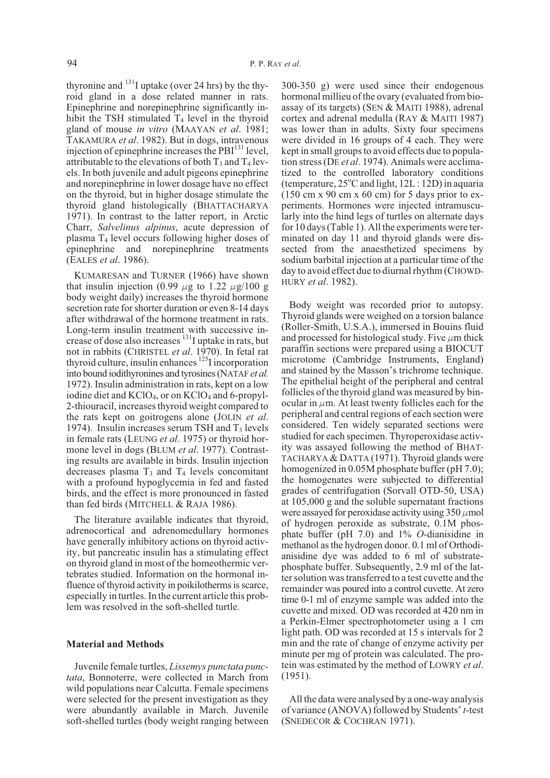thyronine and  $^{131}$ I uptake (over 24 hrs) by the thyroid gland in a dose related manner in rats. Epinephrine and norepinephrine significantly inhibit the TSH stimulated  $T_4$  level in the thyroid gland of mouse *in vitro* (MAAYAN *et al*. 1981; TAKAMURA *et al*. 1982). But in dogs, intravenous injection of epinephrine increases the  $PBI<sup>131</sup>$  level, attributable to the elevations of both  $T_3$  and  $T_4$  levels. In both juvenile and adult pigeons epinephrine and norepinephrine in lower dosage have no effect on the thyroid, but in higher dosage stimulate the thyroid gland histologically (BHATTACHARYA 1971). In contrast to the latter report, in Arctic Charr, *Salvelinus alpinus*, acute depression of plasma  $T_4$  level occurs following higher doses of epinephrine and norepinephrine treatments (EALES *et al*. 1986).

KUMARESAN and TURNER (1966) have shown that insulin injection (0.99  $\mu$ g to 1.22  $\mu$ g/100 g body weight daily) increases the thyroid hormone secretion rate for shorter duration or even 8-14 days after withdrawal of the hormone treatment in rats. Long-term insulin treatment with successive increase of dose also increases  $\frac{131}{11}$  uptake in rats, but not in rabbits (CHRISTEL *et al.* 1970). In fetal rat thyroid culture, insulin enhances  $^{125}$ I incorporation into bound iodithyronines and tyrosines (NATAF *et al.* 1972). Insulin administration in rats, kept on a low iodine diet and  $KClO<sub>4</sub>$ , or on  $KClO<sub>4</sub>$  and 6-propyl-2-thiouracil, increases thyroid weight compared to the rats kept on goitrogens alone (JOLIN *et al*. 1974). Insulin increases serum TSH and  $T_3$  levels in female rats (LEUNG *et al*. 1975) or thyroid hormone level in dogs (BLUM *et al*. 1977). Contrasting results are available in birds. Insulin injection decreases plasma  $T_3$  and  $T_4$  levels concomitant with a profound hypoglycemia in fed and fasted birds, and the effect is more pronounced in fasted than fed birds (MITCHELL & RAJA 1986).

The literature available indicates that thyroid, adrenocortical and adrenomedullary hormones have generally inhibitory actions on thyroid activity, but pancreatic insulin has a stimulating effect on thyroid gland in most of the homeothermic vertebrates studied. Information on the hormonal influence of thyroid activity in poikilotherms is scarce, especially in turtles. In the current article this problem was resolved in the soft-shelled turtle.

## **Material and Methods**

Juvenile female turtles, *Lissemys punctata punctata*, Bonnoterre, were collected in March from wild populations near Calcutta. Female specimens were selected for the present investigation as they were abundantly available in March. Juvenile soft-shelled turtles (body weight ranging between

300-350 g) were used since their endogenous hormonal millieu of the ovary (evaluated from bioassay of its targets) (SEN & MAITI 1988), adrenal cortex and adrenal medulla (RAY & MAITI 1987) was lower than in adults. Sixty four specimens were divided in 16 groups of 4 each. They were kept in small groups to avoid effects due to population stress (DE *et al*. 1974). Animals were acclimatized to the controlled laboratory conditions (temperature,  $25^{\circ}$ C and light,  $12L:12D$ ) in aquaria  $(150 \text{ cm} \times 90 \text{ cm} \times 60 \text{ cm})$  for 5 days prior to experiments. Hormones were injected intramuscularly into the hind legs of turtles on alternate days for 10 days (Table 1). All the experiments were terminated on day 11 and thyroid glands were dissected from the anaesthetized specimens by sodium barbital injection at a particular time of the day to avoid effect due to diurnal rhythm (CHOWD-HURY *et al*. 1982).

Body weight was recorded prior to autopsy. Thyroid glands were weighed on a torsion balance (Roller-Smith, U.S.A.), immersed in Bouins fluid and processed for histological study. Five  $\mu$ m thick paraffin sections were prepared using a BIOCUT microtome (Cambridge Instruments, England) and stained by the Masson's trichrome technique. The epithelial height of the peripheral and central follicles of the thyroid gland was measured by binocular in  $\mu$ m. At least twenty follicles each for the peripheral and central regions of each section were considered. Ten widely separated sections were studied for each specimen. Thyroperoxidase activity was assayed following the method of BHAT-TACHARYA & DATTA (1971). Thyroid glands were homogenized in 0.05M phosphate buffer (pH 7.0); the homogenates were subjected to differential grades of centrifugation (Sorvall OTD-50, USA) at 105,000 g and the soluble supernatant fractions were assayed for peroxidase activity using  $350 \mu$  mol of hydrogen peroxide as substrate, 0.1M phosphate buffer (pH 7.0) and 1% *O*-dianisidine in methanol as the hydrogen donor. 0.1 ml of Orthodianisidine dye was added to 6 ml of substratephosphate buffer. Subsequently, 2.9 ml of the latter solution was transferred to a test cuvette and the remainder was poured into a control cuvette. At zero time 0-1 ml of enzyme sample was added into the cuvette and mixed. OD was recorded at 420 nm in a Perkin-Elmer spectrophotometer using a 1 cm light path. OD was recorded at 15 s intervals for 2 min and the rate of change of enzyme activity per minute per mg of protein was calculated. The protein was estimated by the method of LOWRY *et al*. (1951).

All the data were analysed by a one-way analysis of variance (ANOVA) followed by Students'*t*-test (SNEDECOR & COCHRAN 1971).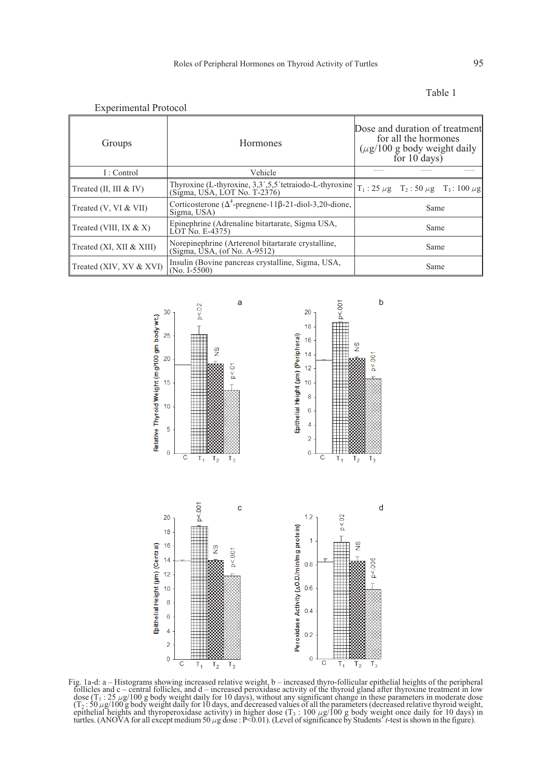| <b>Experimental Protocol</b> |                                                                                           |                                                                                                              |  |
|------------------------------|-------------------------------------------------------------------------------------------|--------------------------------------------------------------------------------------------------------------|--|
| Groups                       | <b>Hormones</b>                                                                           | Dose and duration of treatment<br>for all the hormones<br>$(\mu$ g/100 g body weight daily<br>for $10$ days) |  |
| I: Control                   | Vehicle                                                                                   |                                                                                                              |  |
| Treated $(II, III & IV)$     | Thyroxine (L-thyroxine, 3,3',5,5' tetraiodo-L-thyroxine)<br>$(Sigma, USA, LOTNo, T-2376)$ | $T_1$ : 25 $\mu$ g T <sub>2</sub> : 50 $\mu$ g T <sub>3</sub> : 100 $\mu$ g                                  |  |
| Treated (V, VI & VII)        | Corticosterone ( $\Delta^4$ -pregnene-11 $\beta$ -21-diol-3,20-dione,<br>Sigma, USA)      | Same                                                                                                         |  |
| Treated (VIII, IX $& X$ )    | Epinephrine (Adrenaline bitartarate, Sigma USA,<br>LOT No. E-4375)                        | Same                                                                                                         |  |
| Treated (XI, XII & XIII)     | Norepinephrine (Arterenol bitartarate crystalline,<br>(Sigma, USA, (of No. A-9512)        | Same                                                                                                         |  |
| Treated (XIV, XV & XVI)      | Insulin (Bovine pancreas crystalline, Sigma, USA,<br>$(No. I-5500)$                       | Same                                                                                                         |  |



Fig. 1a-d: a – Histograms showing increased relative weight, b – increased thyro-follicular epithelial heights of the peripheral follicles and c – central follicles, and d – increased peroxidase activity of the thyroid gland after thyroxine treatment in low dose  $(T_1 : 25 \mu g/100 g$  body weight daily for 10 days), without any significant change in these parameters in moderate dose  $(T_2: 50 \mu g/100 g$  body weight daily for 10 days, and decreased values of all the parameters (decreased relative thyroid weight, epithelial heights and thyroperoxidase activity) in higher dose  $(T_3 : 100 \mu g/100 g$  body weight once daily for 10 days) in turtles. (ANOVA for all except medium 50  $\mu$ g dose : P<0.01). (Level of significance by Students'<sup>7</sup>t-test is shown in the figure).

| `able |  |
|-------|--|
|       |  |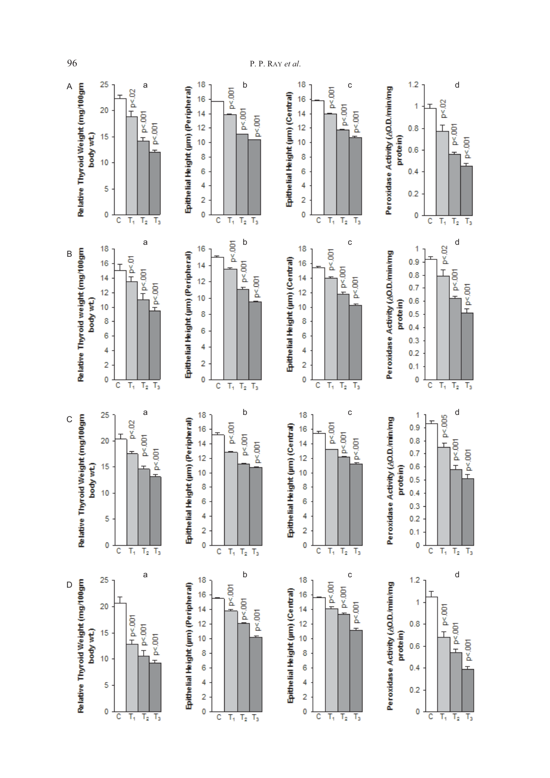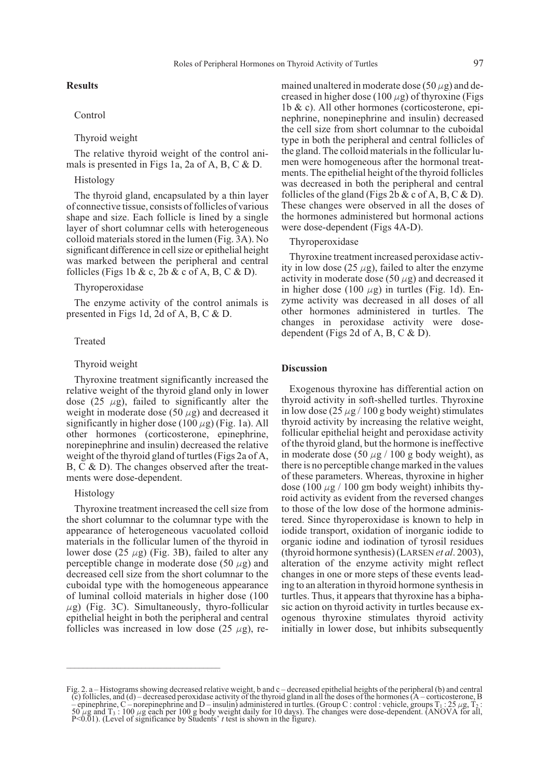# **Results**

# Control

# Thyroid weight

The relative thyroid weight of the control animals is presented in Figs 1a, 2a of A, B, C & D.

## Histology

The thyroid gland, encapsulated by a thin layer of connective tissue, consists of follicles of various shape and size. Each follicle is lined by a single layer of short columnar cells with heterogeneous colloid materials stored in the lumen (Fig. 3A). No significant difference in cell size or epithelial height was marked between the peripheral and central follicles (Figs 1b & c, 2b & c of A, B, C & D).

## Thyroperoxidase

The enzyme activity of the control animals is presented in Figs 1d, 2d of A, B, C & D.

#### Treated

#### Thyroid weight

Thyroxine treatment significantly increased the relative weight of the thyroid gland only in lower dose (25  $\mu$ g), failed to significantly alter the weight in moderate dose (50  $\mu$ g) and decreased it significantly in higher dose (100  $\mu$ g) (Fig. 1a). All other hormones (corticosterone, epinephrine, norepinephrine and insulin) decreased the relative weight of the thyroid gland of turtles (Figs 2a of A, B, C & D). The changes observed after the treatments were dose-dependent.

## Histology

Thyroxine treatment increased the cell size from the short columnar to the columnar type with the appearance of heterogeneous vacuolated colloid materials in the follicular lumen of the thyroid in lower dose (25  $\mu$ g) (Fig. 3B), failed to alter any perceptible change in moderate dose (50  $\mu$ g) and decreased cell size from the short columnar to the cuboidal type with the homogeneous appearance of luminal colloid materials in higher dose (100  $\mu$ g) (Fig. 3C). Simultaneously, thyro-follicular epithelial height in both the peripheral and central follicles was increased in low dose (25  $\mu$ g), re-

\_\_\_\_\_\_\_\_\_\_\_\_\_\_\_\_\_\_\_\_\_\_\_\_\_\_\_\_\_\_\_\_\_\_\_\_\_

mained unaltered in moderate dose (50  $\mu$ g) and decreased in higher dose (100  $\mu$ g) of thyroxine (Figs 1b & c). All other hormones (corticosterone, epinephrine, nonepinephrine and insulin) decreased the cell size from short columnar to the cuboidal type in both the peripheral and central follicles of the gland. The colloid materials in the follicular lumen were homogeneous after the hormonal treatments. The epithelial height of the thyroid follicles was decreased in both the peripheral and central follicles of the gland (Figs 2b  $\&$  c of A, B, C  $\&$  D). These changes were observed in all the doses of the hormones administered but hormonal actions were dose-dependent (Figs 4A-D).

# Thyroperoxidase

Thyroxine treatment increased peroxidase activity in low dose (25  $\mu$ g), failed to alter the enzyme activity in moderate dose (50  $\mu$ g) and decreased it in higher dose (100  $\mu$ g) in turtles (Fig. 1d). Enzyme activity was decreased in all doses of all other hormones administered in turtles. The changes in peroxidase activity were dosedependent (Figs 2d of A, B, C & D).

## **Discussion**

Exogenous thyroxine has differential action on thyroid activity in soft-shelled turtles. Thyroxine in low dose  $(25 \mu g / 100 g$  body weight) stimulates thyroid activity by increasing the relative weight, follicular epithelial height and peroxidase activity of the thyroid gland, but the hormone is ineffective in moderate dose (50  $\mu$ g / 100 g body weight), as there is no perceptible change marked in the values of these parameters. Whereas, thyroxine in higher dose (100  $\mu$ g / 100 gm body weight) inhibits thyroid activity as evident from the reversed changes to those of the low dose of the hormone administered. Since thyroperoxidase is known to help in iodide transport, oxidation of inorganic iodide to organic iodine and iodination of tyrosil residues (thyroid hormone synthesis) (LARSEN *et al*. 2003), alteration of the enzyme activity might reflect changes in one or more steps of these events leading to an alteration in thyroid hormone synthesis in turtles. Thus, it appears that thyroxine has a biphasic action on thyroid activity in turtles because exogenous thyroxine stimulates thyroid activity initially in lower dose, but inhibits subsequently

Fig. 2. a – Histograms showing decreased relative weight, b and c – decreased epithelial heights of the peripheral (b) and central  $\ddot{\rm c}$ ) follicles, and (d) – decreased peroxidase activity of the thyroid gland in all the doses of the hormones (A – corticosterone, B – epinephrine, C – norepinephrine and D – insulin) administered in turtles. (Group C : control : vehicle, groups  $T_1$  :  $25 \mu g$ ,  $T_2$  :  $50 \mu g$  and  $T_3$  :  $100 \mu g$  each per 100 g body weight daily for 10 days). The cha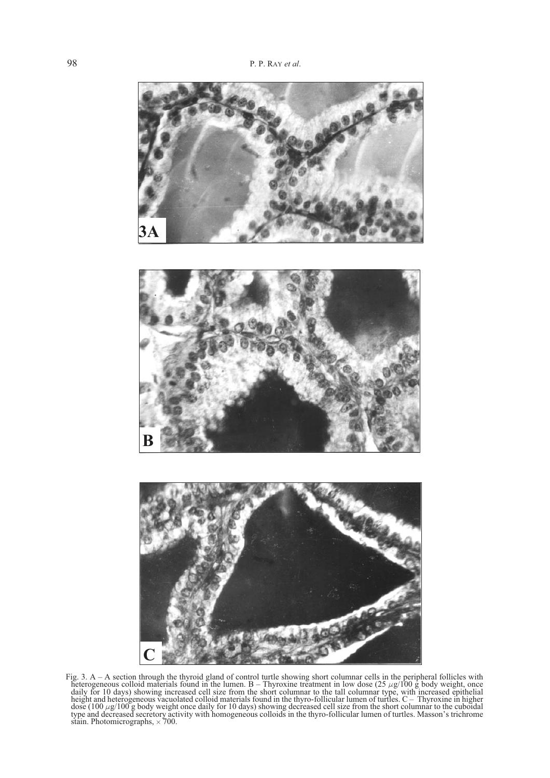

Fig. 3. A – A section through the thyroid gland of control turtle showing short columnar cells in the peripheral follicles with heterogeneous colloid materials found in the lumen. B – Thyroxine treatment in low dose  $(25 \mu g/100 \text{ g})$  body weight, once<br>daily for 10 days) showing increased cell size from the short columnar to the tall columnar type, height and heterogeneous vacuolated colloid materials found in the thyro-follicular lumen of turtles. C – Thyroxine in higher dose  $(100 \mu g/100 g)$  body weight once daily for 10 days) showing decreased cell size from the short columnar to the cuboidal type and decreased secretory activity with homogeneous colloids in the thyro-follicular lumen of stain. Photomicrographs,  $\times 700$ .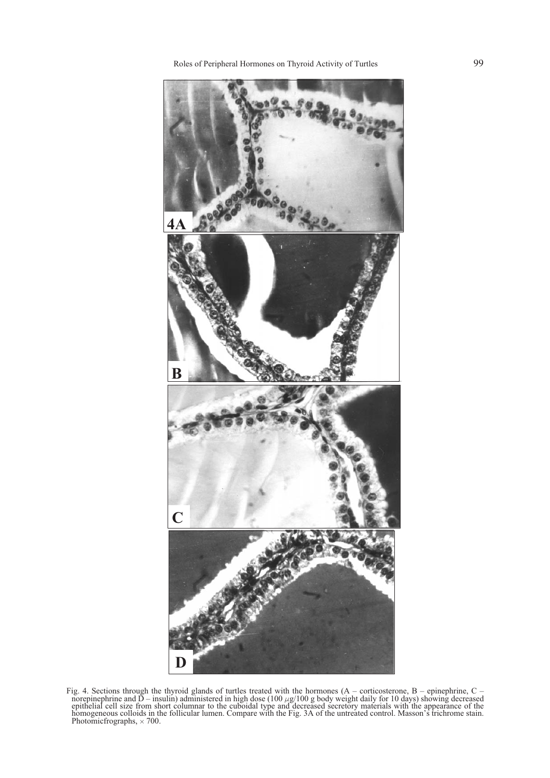

Fig. 4. Sections through the thyroid glands of turtles treated with the hormones (A – corticosterone, B – epinephrine, C – norepinephrine and  $\overline{D}$  – insulin) administered in high dose (100  $\mu$ g/100 g body weight daily for 10 days) showing decreased epithelial cell size from short columnar to the cuboidal type and decreased secretory mate homogeneous colloids in the follicular lumen. Compare with the Fig. 3A of the untreated control. Masson's trichrome stain. Photomic frographs,  $\times$  700.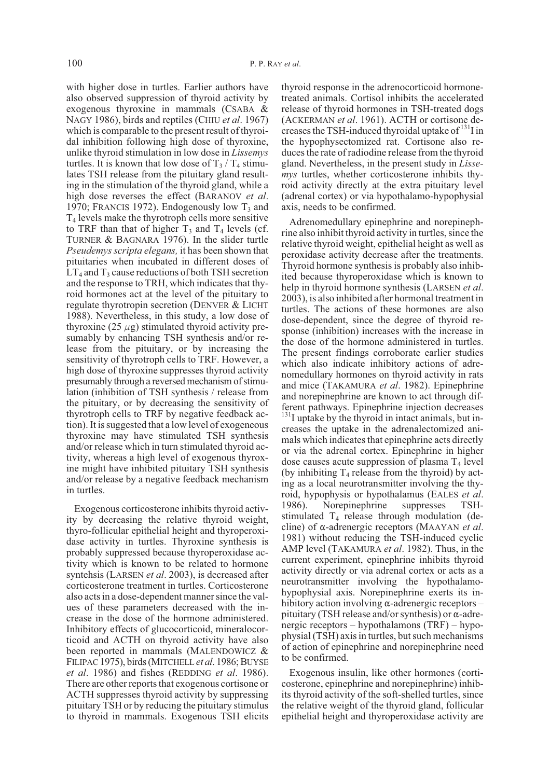with higher dose in turtles. Earlier authors have also observed suppression of thyroid activity by exogenous thyroxine in mammals (CSABA & NAGY 1986), birds and reptiles (CHIU *et al*. 1967) which is comparable to the present result of thyroidal inhibition following high dose of thyroxine, unlike thyroid stimulation in low dose in *Lissemys* turtles. It is known that low dose of  $T_3 / T_4$  stimulates TSH release from the pituitary gland resulting in the stimulation of the thyroid gland, while a high dose reverses the effect (BARANOV *et al*. 1970; FRANCIS 1972). Endogenously low  $T_3$  and T4 levels make the thyrotroph cells more sensitive to TRF than that of higher  $T_3$  and  $T_4$  levels (cf. TURNER & BAGNARA 1976). In the slider turtle *Pseudemys scripta elegans,* it has been shown that pituitaries when incubated in different doses of  $LT_4$  and  $T_3$  cause reductions of both TSH secretion and the response to TRH, which indicates that thyroid hormones act at the level of the pituitary to regulate thyrotropin secretion (DENVER & LICHT 1988). Nevertheless, in this study, a low dose of thyroxine (25  $\mu$ g) stimulated thyroid activity presumably by enhancing TSH synthesis and/or release from the pituitary, or by increasing the sensitivity of thyrotroph cells to TRF. However, a high dose of thyroxine suppresses thyroid activity presumably through a reversed mechanism of stimulation (inhibition of TSH synthesis / release from the pituitary, or by decreasing the sensitivity of thyrotroph cells to TRF by negative feedback action). It is suggested that a low level of exogeneous thyroxine may have stimulated TSH synthesis and/or release which in turn stimulated thyroid activity, whereas a high level of exogenous thyroxine might have inhibited pituitary TSH synthesis and/or release by a negative feedback mechanism in turtles.

Exogenous corticosterone inhibits thyroid activity by decreasing the relative thyroid weight, thyro-follicular epithelial height and thyroperoxidase activity in turtles. Thyroxine synthesis is probably suppressed because thyroperoxidase activity which is known to be related to hormone syntehsis (LARSEN *et al*. 2003), is decreased after corticosterone treatment in turtles. Corticosterone also acts in a dose-dependent manner since the values of these parameters decreased with the increase in the dose of the hormone administered. Inhibitory effects of glucocorticoid, mineralocorticoid and ACTH on thyroid activity have also been reported in mammals (MALENDOWICZ & FILIPAC 1975), birds (MITCHELL *et al*. 1986; BUYSE *et al*. 1986) and fishes (REDDING *et al*. 1986). There are other reports that exogenous cortisone or ACTH suppresses thyroid activity by suppressing pituitary TSH or by reducing the pituitary stimulus to thyroid in mammals. Exogenous TSH elicits

thyroid response in the adrenocorticoid hormonetreated animals. Cortisol inhibits the accelerated release of thyroid hormones in TSH-treated dogs (ACKERMAN *et al*. 1961). ACTH or cortisone decreases the TSH-induced thyroidal uptake of  $131$  in the hypophysectomized rat. Cortisone also reduces the rate of radiodine release from the thyroid gland. Nevertheless, in the present study in *Lissemys* turtles, whether corticosterone inhibits thyroid activity directly at the extra pituitary level (adrenal cortex) or via hypothalamo-hypophysial axis, needs to be confirmed.

Adrenomedullary epinephrine and norepinephrine also inhibit thyroid activity in turtles, since the relative thyroid weight, epithelial height as well as peroxidase activity decrease after the treatments. Thyroid hormone synthesis is probably also inhibited because thyroperoxidase which is known to help in thyroid hormone synthesis (LARSEN *et al*. 2003), is also inhibited after hormonal treatment in turtles. The actions of these hormones are also dose-dependent, since the degree of thyroid response (inhibition) increases with the increase in the dose of the hormone administered in turtles. The present findings corroborate earlier studies which also indicate inhibitory actions of adrenomedullary hormones on thyroid activity in rats and mice (TAKAMURA *et al*. 1982). Epinephrine and norepinephrine are known to act through different pathways. Epinephrine injection decreases  $131$  uptake by the thyroid in intact animals, but increases the uptake in the adrenalectomized animals which indicates that epinephrine acts directly or via the adrenal cortex. Epinephrine in higher dose causes acute suppression of plasma  $T_4$  level (by inhibiting  $T_4$  release from the thyroid) by acting as a local neurotransmitter involving the thyroid, hypophysis or hypothalamus (EALES *et al*. 1986). Norepinephrine suppresses TSHstimulated  $T_4$  release through modulation (decline) of α-adrenergic receptors (MAAYAN *et al.* 1981) without reducing the TSH-induced cyclic AMP level (TAKAMURA *et al*. 1982). Thus, in the current experiment, epinephrine inhibits thyroid activity directly or via adrenal cortex or acts as a neurotransmitter involving the hypothalamohypophysial axis. Norepinephrine exerts its inhibitory action involving  $\alpha$ -adrenergic receptors – pituitary (TSH release and/or synthesis) or  $\alpha$ -adrenergic receptors – hypothalamons (TRF) – hypophysial (TSH) axis in turtles, but such mechanisms of action of epinephrine and norepinephrine need to be confirmed.

Exogenous insulin, like other hormones (corticosterone, epinephrine and norepinephrine) inhibits thyroid activity of the soft-shelled turtles, since the relative weight of the thyroid gland, follicular epithelial height and thyroperoxidase activity are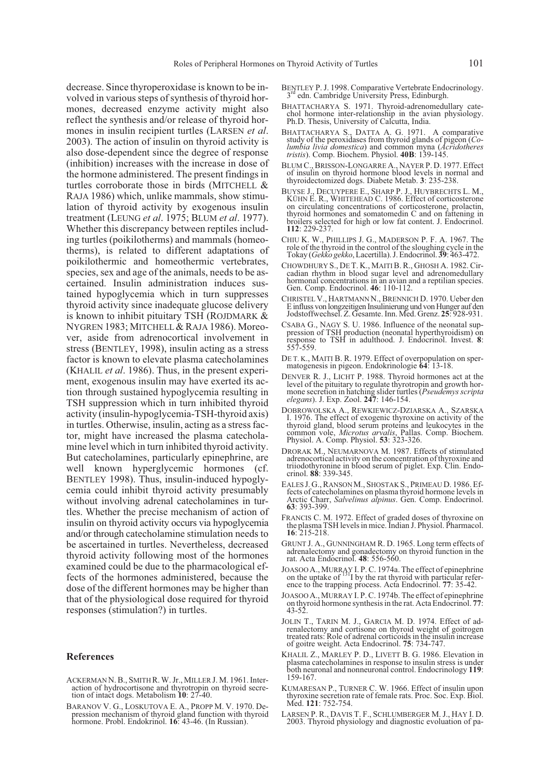decrease. Since thyroperoxidase is known to be involved in various steps of synthesis of thyroid hormones, decreased enzyme activity might also reflect the synthesis and/or release of thyroid hormones in insulin recipient turtles (LARSEN *et al*. 2003). The action of insulin on thyroid activity is also dose-dependent since the degree of response (inhibition) increases with the increase in dose of the hormone administered. The present findings in turtles corroborate those in birds (MITCHELL & RAJA 1986) which, unlike mammals, show stimulation of thyroid activity by exogenous insulin treatment (LEUNG *et al*. 1975; BLUM *et al*. 1977). Whether this discrepancy between reptiles including turtles (poikilotherms) and mammals (homeotherms), is related to different adaptations of poikilothermic and homeothermic vertebrates, species, sex and age of the animals, needs to be ascertained. Insulin administration induces sustained hypoglycemia which in turn suppresses thyroid activity since inadequate glucose delivery is known to inhibit pituitary TSH (ROJDMARK & NYGREN 1983; MITCHELL& RAJA 1986). Moreover, aside from adrenocortical involvement in stress (BENTLEY, 1998), insulin acting as a stress factor is known to elevate plasma catecholamines (KHALIL *et al*. 1986). Thus, in the present experiment, exogenous insulin may have exerted its action through sustained hypoglycemia resulting in TSH suppression which in turn inhibited thyroid activity (insulin-hypoglycemia-TSH-thyroid axis) in turtles. Otherwise, insulin, acting as a stress factor, might have increased the plasma catecholamine level which in turn inhibited thyroid activity. But catecholamines, particularly epinephrine, are well known hyperglycemic hormones (cf. BENTLEY 1998). Thus, insulin-induced hypoglycemia could inhibit thyroid activity presumably without involving adrenal catecholamines in turtles. Whether the precise mechanism of action of insulin on thyroid activity occurs via hypoglycemia and/or through catecholamine stimulation needs to be ascertained in turtles. Nevertheless, decreased thyroid activity following most of the hormones examined could be due to the pharmacological effects of the hormones administered, because the dose of the different hormones may be higher than that of the physiological dose required for thyroid responses (stimulation?) in turtles.

#### **References**

- ACKERMAN N. B., SMITH R. W. Jr., MILLER J. M. 1961. Inter- action of hydrocortisone and thyrotropin on thyroid secre- tion of intact dogs. Metabolism **<sup>10</sup>**: 27-40.
- BARANOV V. G., LOSKUTOVA E. A., PROPP M. V. 1970. De- pression mechanism of thyroid gland function with thyroid hormone. Probl. Endokrinol. **16**: 43-46. (In Russian).
- BENTLEY P. J. 1998. Comparative Vertebrate Endocrinology.<br>3<sup>rd</sup> edn. Cambridge University Press, Edinburgh.
- BHATTACHARYA S. 1971. Thyroid-adrenomedullary cate- chol hormone inter-relationship in the avian physiology. Ph.D. Thesis, University of Calcutta, India.
- BHATTACHARYA S., DATTA A. G. 1971. A comparative study of the peroxidases from thyroid glands of pigeon (*Co- lumbia livia domestica*) and common myna (*Acridotheres tristis*). Comp. Biochem. Physiol. **40B**: 139-145.
- BLUM C., BRISSON-LONGARRE A., NAYER P. D. 1977. Effect of insulin on thyroid hormone blood levels in normal and thyroidectomized dogs. Diabete Metab. **3**: 235-238.
- BUYSE J., DECUYPERE E., SHARP P. J., HUYBRECHTS L. M., KÜHN E. R., WHITEHEAD C. 1986. Effect of corticosterone on circulating concentrations of corticosterone, prolactin, thyroid hormones and somatomedin C and on fattening in broilers selected for high or low fat content. J. Endocrinol. **112**: 229-237.
- CHIU K. W., PHILLIPS J. G., MADERSON P. F. A. 1967. The role of the thyroid in the control of the sloughing cycle in the Tokay (*Gekko gekko*, Lacertilla). J. Endocrinol. **39**: 463-472.
- CHOWDHURY S., DE T. K., MAITIB. R., GHOSH A. 1982. Cir- cadian rhythm in blood sugar level and adrenomedullary hormonal concentrations in an avian and a reptilian species. Gen. Comp. Endocrinol. **46**: 110-112.
- CHRISTEL V., HARTMANN N., BRENNICH D. 1970. Ueber den E influss von longzeitigen Insulinierung und von Hunger auf den Jodstoffwechsel. Z. Gesamte. Inn. Med. Grenz. **25**: 928-931.
- CSABA G., NAGY S. U. 1986. Influence of the neonatal sup- pression of TSH production (neonatal hyperthyroidism) on response to TSH in adulthood. J. Endocrinol. Invest. **<sup>8</sup>**: 557-559.
- DE T. K., MAITI B. R. 1979. Effect of overpopulation on sper- matogenesis in pigeon. Endokrinologie **<sup>64</sup>**: 13-18.
- DENVER R. J., LICHT P. 1988. Thyroid hormones act at the level of the pituitary to regulate thyrotropin and growth hormone secretion in hatching slider turtles (*Pseudemys scripta elegans*). J. Exp. Zool. **<sup>247</sup>**: 146-154.
- DOBROWOLSKA A., REWKIEWICZ-DZIARSKA A., SZARSKA I. 1976. The effect of exogenic thyroxine on activity of the thyroid gland, blood serum proteins and leukocytes in the common vole, *Microtus arvalis*, Pallas. Comp. Biochem. Physiol. A. Comp. Physiol. **<sup>53</sup>**: 323-326.
- DRORAK M., NEUMARNOVA M. 1987. Effects of stimulated adrenocortical activity on the concentration of thyroxine and triiodothyronine in blood serum of piglet. Exp. Clin. Endo- crinol. **<sup>88</sup>**: 339-345.
- EALES J. G., RANSONM., SHOSTAK S., PRIMEAU D. 1986. Ef- fects of catecholamines on plasma thyroid hormone levels in Arctic Charr, *Salvelinus alpinus*. Gen. Comp. Endocrinol. **63**: 393-399.
- FRANCIS C. M. 1972. Effect of graded doses of thyroxine on the plasma TSH levels in mice. Indian J. Physiol. Pharmacol. **16**: 215-218.
- GRUNT J. A., GUNNINGHAM R. D. 1965. Long term effects of adrenalectomy and gonadectomy on thyroid function in the rat. Acta Endocrinol. **48**: 556-560.
- JOASOO A., MURRAY I. P. C. 1974a. The effect of epinephrine on the uptake of 131I by the rat thyroid with particular refer- ence to the trapping process. Acta Endocrinol. **<sup>77</sup>**: 35-42.
- JOASOO A., MURRAY I. P. C. 1974b. The effect of epinephrine on thyroid hormone synthesis in the rat. Acta Endocrinol. **<sup>77</sup>**: 43-52.
- JOLIN T., TARIN M. J., GARCIA M. D. 1974. Effect of ad- renalectomy and cortisone on thyroid weight of goitrogen treated rats: Role of adrenal corticoids in the insulin increase of goitre weight. Acta Endocrinol. **75**: 734-747.
- KHALIL Z., MARLEY P. D., LIVETT B. G. 1986. Elevation in plasma catecholamines in response to insulin stress is under both neuronal and nonneuronal control. Endocrinology **<sup>119</sup>**: 159-167.
- KUMARESAN P., TURNER C. W. 1966. Effect of insulin upon thyroxine secretion rate of female rats. Proc. Soc. Exp. Biol. Med. **121**: 752-754.
- LARSEN P. R., DAVIS T. F., SCHLUMBERGER M. J., HAY I. D. 2003. Thyroid physiology and diagnostic evoluation of pa-